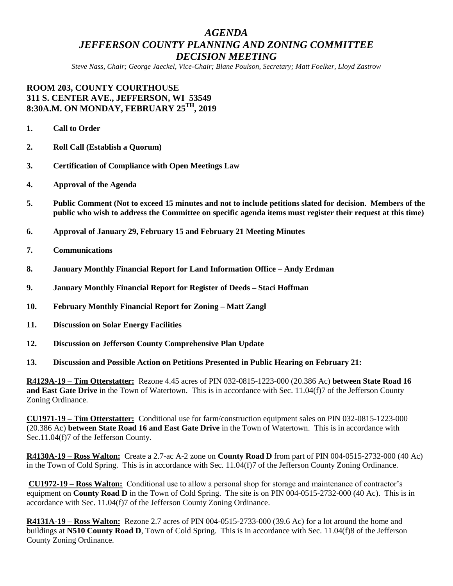## *AGENDA JEFFERSON COUNTY PLANNING AND ZONING COMMITTEE DECISION MEETING*

*Steve Nass, Chair; George Jaeckel, Vice-Chair; Blane Poulson, Secretary; Matt Foelker, Lloyd Zastrow*

## **ROOM 203, COUNTY COURTHOUSE 311 S. CENTER AVE., JEFFERSON, WI 53549 8:30A.M. ON MONDAY, FEBRUARY 25TH, 2019**

- **1. Call to Order**
- **2. Roll Call (Establish a Quorum)**
- **3. Certification of Compliance with Open Meetings Law**
- **4. Approval of the Agenda**
- **5. Public Comment (Not to exceed 15 minutes and not to include petitions slated for decision. Members of the public who wish to address the Committee on specific agenda items must register their request at this time)**
- **6. Approval of January 29, February 15 and February 21 Meeting Minutes**
- **7. Communications**
- **8. January Monthly Financial Report for Land Information Office – Andy Erdman**
- **9. January Monthly Financial Report for Register of Deeds – Staci Hoffman**
- **10. February Monthly Financial Report for Zoning – Matt Zangl**
- **11. Discussion on Solar Energy Facilities**
- **12. Discussion on Jefferson County Comprehensive Plan Update**
- **13. Discussion and Possible Action on Petitions Presented in Public Hearing on February 21:**

**R4129A-19 – Tim Otterstatter:** Rezone 4.45 acres of PIN 032-0815-1223-000 (20.386 Ac) **between State Road 16 and East Gate Drive** in the Town of Watertown. This is in accordance with Sec. 11.04(f)7 of the Jefferson County Zoning Ordinance.

**CU1971-19 – Tim Otterstatter:** Conditional use for farm/construction equipment sales on PIN 032-0815-1223-000 (20.386 Ac) **between State Road 16 and East Gate Drive** in the Town of Watertown. This is in accordance with Sec.11.04(f)7 of the Jefferson County.

**R4130A-19 – Ross Walton:** Create a 2.7-ac A-2 zone on **County Road D** from part of PIN 004-0515-2732-000 (40 Ac) in the Town of Cold Spring. This is in accordance with Sec. 11.04(f)7 of the Jefferson County Zoning Ordinance.

**CU1972-19 – Ross Walton:** Conditional use to allow a personal shop for storage and maintenance of contractor's equipment on **County Road D** in the Town of Cold Spring. The site is on PIN 004-0515-2732-000 (40 Ac). This is in accordance with Sec. 11.04(f)7 of the Jefferson County Zoning Ordinance.

**R4131A-19 – Ross Walton:** Rezone 2.7 acres of PIN 004-0515-2733-000 (39.6 Ac) for a lot around the home and buildings at **N510 County Road D**, Town of Cold Spring. This is in accordance with Sec. 11.04(f)8 of the Jefferson County Zoning Ordinance.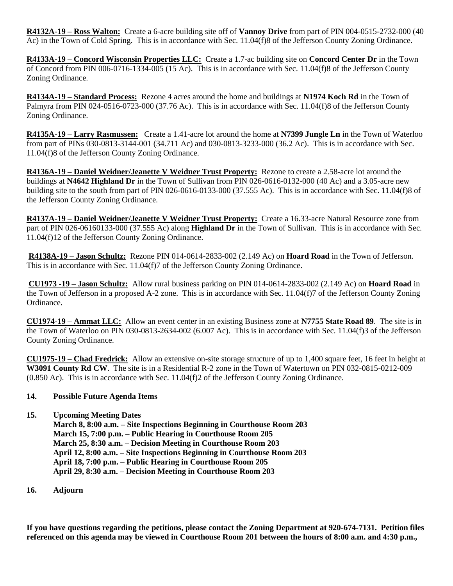**R4132A-19 – Ross Walton:** Create a 6-acre building site off of **Vannoy Drive** from part of PIN 004-0515-2732-000 (40 Ac) in the Town of Cold Spring. This is in accordance with Sec. 11.04(f)8 of the Jefferson County Zoning Ordinance.

**R4133A-19 – Concord Wisconsin Properties LLC:** Create a 1.7-ac building site on **Concord Center Dr** in the Town of Concord from PIN 006-0716-1334-005 (15 Ac). This is in accordance with Sec. 11.04(f)8 of the Jefferson County Zoning Ordinance.

**R4134A-19 – Standard Process:** Rezone 4 acres around the home and buildings at **N1974 Koch Rd** in the Town of Palmyra from PIN 024-0516-0723-000 (37.76 Ac). This is in accordance with Sec. 11.04(f)8 of the Jefferson County Zoning Ordinance.

**R4135A-19 – Larry Rasmussen:** Create a 1.41-acre lot around the home at **N7399 Jungle Ln** in the Town of Waterloo from part of PINs 030-0813-3144-001 (34.711 Ac) and 030-0813-3233-000 (36.2 Ac). This is in accordance with Sec. 11.04(f)8 of the Jefferson County Zoning Ordinance.

**R4136A-19 – Daniel Weidner/Jeanette V Weidner Trust Property:** Rezone to create a 2.58-acre lot around the buildings at **N4642 Highland Dr** in the Town of Sullivan from PIN 026-0616-0132-000 (40 Ac) and a 3.05-acre new building site to the south from part of PIN 026-0616-0133-000 (37.555 Ac). This is in accordance with Sec. 11.04(f)8 of the Jefferson County Zoning Ordinance.

**R4137A-19 – Daniel Weidner/Jeanette V Weidner Trust Property:** Create a 16.33-acre Natural Resource zone from part of PIN 026-06160133-000 (37.555 Ac) along **Highland Dr** in the Town of Sullivan. This is in accordance with Sec. 11.04(f)12 of the Jefferson County Zoning Ordinance.

**R4138A-19 – Jason Schultz:** Rezone PIN 014-0614-2833-002 (2.149 Ac) on **Hoard Road** in the Town of Jefferson. This is in accordance with Sec. 11.04(f)7 of the Jefferson County Zoning Ordinance.

**CU1973 -19 – Jason Schultz:** Allow rural business parking on PIN 014-0614-2833-002 (2.149 Ac) on **Hoard Road** in the Town of Jefferson in a proposed A-2 zone. This is in accordance with Sec. 11.04(f)7 of the Jefferson County Zoning Ordinance.

**CU1974-19 – Ammat LLC:** Allow an event center in an existing Business zone at **N7755 State Road 89**. The site is in the Town of Waterloo on PIN 030-0813-2634-002 (6.007 Ac). This is in accordance with Sec. 11.04(f)3 of the Jefferson County Zoning Ordinance.

**CU1975-19 – Chad Fredrick:** Allow an extensive on-site storage structure of up to 1,400 square feet, 16 feet in height at **W3091 County Rd CW**. The site is in a Residential R-2 zone in the Town of Watertown on PIN 032-0815-0212-009 (0.850 Ac). This is in accordance with Sec. 11.04(f)2 of the Jefferson County Zoning Ordinance.

## **14. Possible Future Agenda Items**

**15. Upcoming Meeting Dates**

**March 8, 8:00 a.m. – Site Inspections Beginning in Courthouse Room 203 March 15, 7:00 p.m. – Public Hearing in Courthouse Room 205 March 25, 8:30 a.m. – Decision Meeting in Courthouse Room 203 April 12, 8:00 a.m. – Site Inspections Beginning in Courthouse Room 203 April 18, 7:00 p.m. – Public Hearing in Courthouse Room 205 April 29, 8:30 a.m. – Decision Meeting in Courthouse Room 203**

**16. Adjourn**

**If you have questions regarding the petitions, please contact the Zoning Department at 920-674-7131. Petition files referenced on this agenda may be viewed in Courthouse Room 201 between the hours of 8:00 a.m. and 4:30 p.m.,**